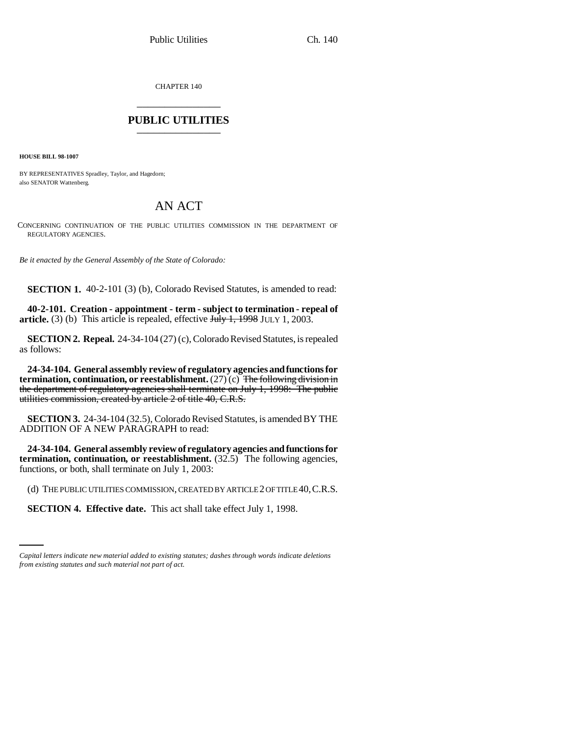CHAPTER 140 \_\_\_\_\_\_\_\_\_\_\_\_\_\_\_

## **PUBLIC UTILITIES** \_\_\_\_\_\_\_\_\_\_\_\_\_\_\_

**HOUSE BILL 98-1007**

BY REPRESENTATIVES Spradley, Taylor, and Hagedorn; also SENATOR Wattenberg.

## AN ACT

CONCERNING CONTINUATION OF THE PUBLIC UTILITIES COMMISSION IN THE DEPARTMENT OF REGULATORY AGENCIES.

*Be it enacted by the General Assembly of the State of Colorado:*

**SECTION 1.** 40-2-101 (3) (b), Colorado Revised Statutes, is amended to read:

**40-2-101. Creation - appointment - term - subject to termination - repeal of article.** (3) (b) This article is repealed, effective July 1, 1998 JULY 1, 2003.

**SECTION 2. Repeal.** 24-34-104 (27) (c), Colorado Revised Statutes, is repealed as follows:

**24-34-104. General assembly review of regulatory agencies and functions for termination, continuation, or reestablishment.** (27) (c) The following division in the department of regulatory agencies shall terminate on July 1, 1998: The public utilities commission, created by article 2 of title 40, C.R.S.

**SECTION 3.** 24-34-104 (32.5), Colorado Revised Statutes, is amended BY THE ADDITION OF A NEW PARAGRAPH to read:

**24-34-104. General assembly review of regulatory agencies and functions for termination, continuation, or reestablishment.** (32.5) The following agencies, functions, or both, shall terminate on July 1, 2003:

(d) THE PUBLIC UTILITIES COMMISSION, CREATED BY ARTICLE 2 OF TITLE 40,C.R.S.

**SECTION 4. Effective date.** This act shall take effect July 1, 1998.

*Capital letters indicate new material added to existing statutes; dashes through words indicate deletions from existing statutes and such material not part of act.*